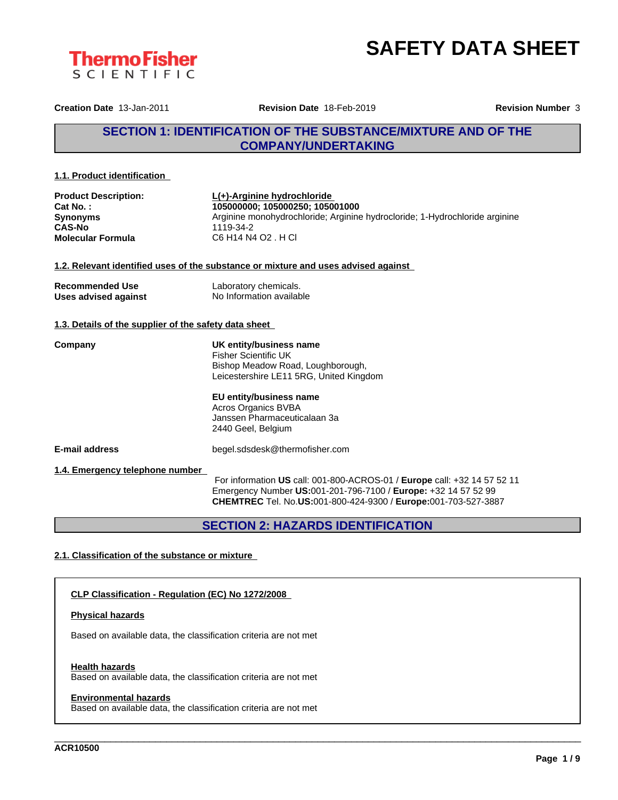



**Creation Date** 13-Jan-2011 **Revision Date** 18-Feb-2019 **Revision Number** 3

## **SECTION 1: IDENTIFICATION OF THE SUBSTANCE/MIXTURE AND OF THE COMPANY/UNDERTAKING**

#### **1.1. Product identification**

| <b>Product Description:</b> | $L(+)$ -Arginine hydrochloride                                              |
|-----------------------------|-----------------------------------------------------------------------------|
| Cat No. :                   | 105000000: 105000250: 105001000                                             |
| Synonyms                    | Arginine monohydrochloride; Arginine hydrocloride; 1-Hydrochloride arginine |
| CAS-No                      | 1119-34-2                                                                   |
| Molecular Formula           | C6 H14 N4 O2 . H Cl                                                         |
|                             |                                                                             |

#### **1.2. Relevant identified uses of the substance or mixture and uses advised against**

| <b>Recommended Use</b> | Laboratory chemicals.    |
|------------------------|--------------------------|
| Uses advised against   | No Information available |

## **1.3. Details of the supplier of the safety data sheet**

**Company UK entity/business name** Fisher Scientific UK Bishop Meadow Road, Loughborough, Leicestershire LE11 5RG, United Kingdom

> **EU entity/business name** Acros Organics BVBA Janssen Pharmaceuticalaan 3a 2440 Geel, Belgium

**E-mail address** begel.sdsdesk@thermofisher.com

**1.4. Emergency telephone number**

For information **US** call: 001-800-ACROS-01 / **Europe** call: +32 14 57 52 11 Emergency Number **US:**001-201-796-7100 / **Europe:** +32 14 57 52 99 **CHEMTREC** Tel. No.**US:**001-800-424-9300 / **Europe:**001-703-527-3887

\_\_\_\_\_\_\_\_\_\_\_\_\_\_\_\_\_\_\_\_\_\_\_\_\_\_\_\_\_\_\_\_\_\_\_\_\_\_\_\_\_\_\_\_\_\_\_\_\_\_\_\_\_\_\_\_\_\_\_\_\_\_\_\_\_\_\_\_\_\_\_\_\_\_\_\_\_\_\_\_\_\_\_\_\_\_\_\_\_\_\_\_\_\_

**SECTION 2: HAZARDS IDENTIFICATION**

## **2.1. Classification of the substance or mixture**

### **CLP Classification - Regulation (EC) No 1272/2008**

#### **Physical hazards**

Based on available data, the classification criteria are not met

#### **Health hazards**

Based on available data, the classification criteria are not met

#### **Environmental hazards**

Based on available data, the classification criteria are not met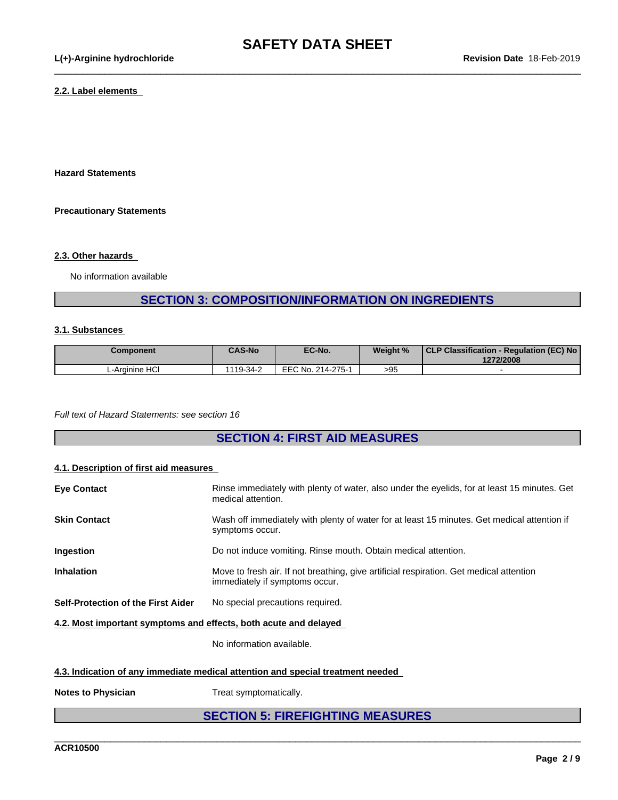$\_$  ,  $\_$  ,  $\_$  ,  $\_$  ,  $\_$  ,  $\_$  ,  $\_$  ,  $\_$  ,  $\_$  ,  $\_$  ,  $\_$  ,  $\_$  ,  $\_$  ,  $\_$  ,  $\_$  ,  $\_$  ,  $\_$  ,  $\_$  ,  $\_$  ,  $\_$  ,  $\_$  ,  $\_$  ,  $\_$  ,  $\_$  ,  $\_$  ,  $\_$  ,  $\_$  ,  $\_$  ,  $\_$  ,  $\_$  ,  $\_$  ,  $\_$  ,  $\_$  ,  $\_$  ,  $\_$  ,  $\_$  ,  $\_$  ,

#### **2.2. Label elements**

**Hazard Statements**

#### **Precautionary Statements**

#### **2.3. Other hazards**

No information available

# **SECTION 3: COMPOSITION/INFORMATION ON INGREDIENTS**

#### **3.1. Substances**

| Component      | <b>CAS-No</b> | EC-No.            | Weight % | CLP Classification - Regulation (EC) No<br>1272/2008 |
|----------------|---------------|-------------------|----------|------------------------------------------------------|
| L-Arainine HCl | 1119-34-2     | EEC No. 214-275-1 | >95      |                                                      |

*Full text of Hazard Statements: see section 16*

## **SECTION 4: FIRST AID MEASURES**

#### **4.1. Description of first aid measures**

| <b>Eye Contact</b>                                               | Rinse immediately with plenty of water, also under the eyelids, for at least 15 minutes. Get<br>medical attention.        |  |
|------------------------------------------------------------------|---------------------------------------------------------------------------------------------------------------------------|--|
| <b>Skin Contact</b>                                              | Wash off immediately with plenty of water for at least 15 minutes. Get medical attention if<br>symptoms occur.            |  |
| <b>Ingestion</b>                                                 | Do not induce vomiting. Rinse mouth. Obtain medical attention.                                                            |  |
| <b>Inhalation</b>                                                | Move to fresh air. If not breathing, give artificial respiration. Get medical attention<br>immediately if symptoms occur. |  |
| Self-Protection of the First Aider                               | No special precautions required.                                                                                          |  |
| 4.2. Most important symptoms and effects, both acute and delayed |                                                                                                                           |  |

No information available.

#### **4.3. Indication of any immediate medical attention and special treatment needed**

**Notes to Physician** Treat symptomatically.

# **SECTION 5: FIREFIGHTING MEASURES**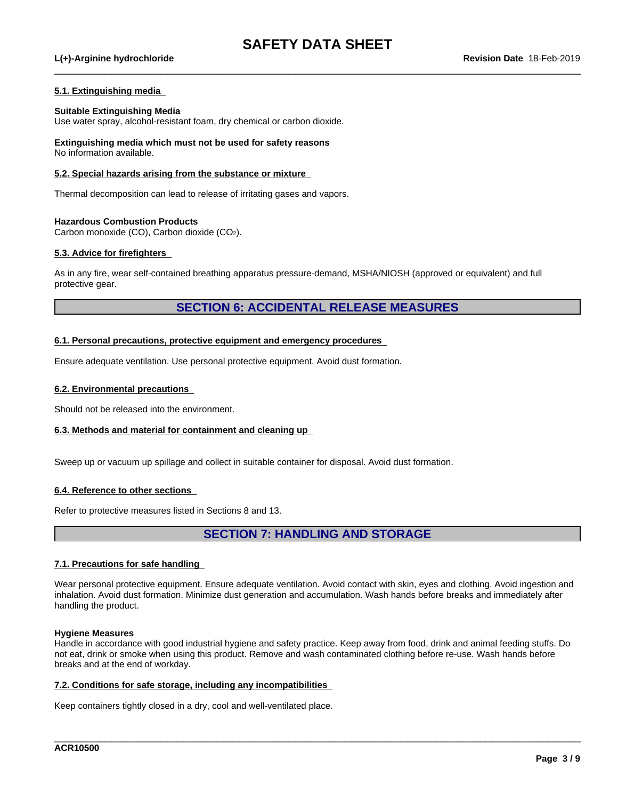$\_$  ,  $\_$  ,  $\_$  ,  $\_$  ,  $\_$  ,  $\_$  ,  $\_$  ,  $\_$  ,  $\_$  ,  $\_$  ,  $\_$  ,  $\_$  ,  $\_$  ,  $\_$  ,  $\_$  ,  $\_$  ,  $\_$  ,  $\_$  ,  $\_$  ,  $\_$  ,  $\_$  ,  $\_$  ,  $\_$  ,  $\_$  ,  $\_$  ,  $\_$  ,  $\_$  ,  $\_$  ,  $\_$  ,  $\_$  ,  $\_$  ,  $\_$  ,  $\_$  ,  $\_$  ,  $\_$  ,  $\_$  ,  $\_$  ,

#### **L(+)-Arginine hydrochloride Revision Date** 18-Feb-2019

#### **5.1. Extinguishing media**

#### **Suitable Extinguishing Media**

Use water spray, alcohol-resistant foam, dry chemical or carbon dioxide.

**Extinguishing media which must not be used for safety reasons** No information available.

#### **5.2. Special hazards arising from the substance or mixture**

Thermal decomposition can lead to release of irritating gases and vapors.

#### **Hazardous Combustion Products**

Carbon monoxide (CO), Carbon dioxide (CO2).

#### **5.3. Advice for firefighters**

As in any fire, wear self-contained breathing apparatus pressure-demand, MSHA/NIOSH (approved or equivalent) and full protective gear.

## **SECTION 6: ACCIDENTAL RELEASE MEASURES**

#### **6.1. Personal precautions, protective equipment and emergency procedures**

Ensure adequate ventilation. Use personal protective equipment. Avoid dust formation.

#### **6.2. Environmental precautions**

Should not be released into the environment.

#### **6.3. Methods and material for containment and cleaning up**

Sweep up or vacuum up spillage and collect in suitable container for disposal. Avoid dust formation.

#### **6.4. Reference to other sections**

Refer to protective measures listed in Sections 8 and 13.

## **SECTION 7: HANDLING AND STORAGE**

#### **7.1. Precautions for safe handling**

Wear personal protective equipment. Ensure adequate ventilation. Avoid contact with skin, eyes and clothing. Avoid ingestion and inhalation. Avoid dust formation. Minimize dust generation and accumulation. Wash hands before breaks and immediately after handling the product.

#### **Hygiene Measures**

Handle in accordance with good industrial hygiene and safety practice. Keep away from food, drink and animal feeding stuffs. Do not eat, drink or smoke when using this product. Remove and wash contaminated clothing before re-use. Wash hands before breaks and at the end of workday.

\_\_\_\_\_\_\_\_\_\_\_\_\_\_\_\_\_\_\_\_\_\_\_\_\_\_\_\_\_\_\_\_\_\_\_\_\_\_\_\_\_\_\_\_\_\_\_\_\_\_\_\_\_\_\_\_\_\_\_\_\_\_\_\_\_\_\_\_\_\_\_\_\_\_\_\_\_\_\_\_\_\_\_\_\_\_\_\_\_\_\_\_\_\_

#### **7.2. Conditions for safe storage, including any incompatibilities**

Keep containers tightly closed in a dry, cool and well-ventilated place.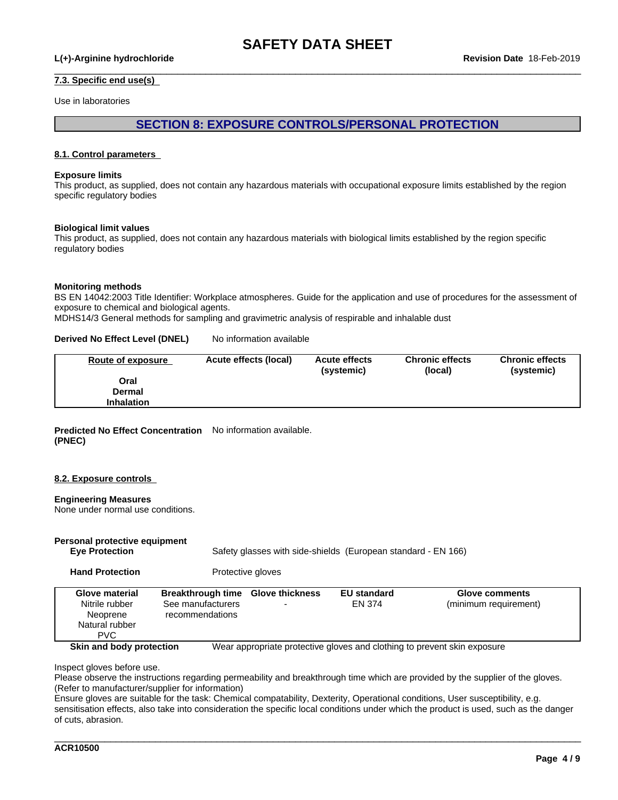$\_$  ,  $\_$  ,  $\_$  ,  $\_$  ,  $\_$  ,  $\_$  ,  $\_$  ,  $\_$  ,  $\_$  ,  $\_$  ,  $\_$  ,  $\_$  ,  $\_$  ,  $\_$  ,  $\_$  ,  $\_$  ,  $\_$  ,  $\_$  ,  $\_$  ,  $\_$  ,  $\_$  ,  $\_$  ,  $\_$  ,  $\_$  ,  $\_$  ,  $\_$  ,  $\_$  ,  $\_$  ,  $\_$  ,  $\_$  ,  $\_$  ,  $\_$  ,  $\_$  ,  $\_$  ,  $\_$  ,  $\_$  ,  $\_$  ,

#### **L(+)-Arginine hydrochloride Revision Date** 18-Feb-2019

#### **7.3. Specific end use(s)**

Use in laboratories

## **SECTION 8: EXPOSURE CONTROLS/PERSONAL PROTECTION**

#### **8.1. Control parameters**

#### **Exposure limits**

This product, as supplied, does not contain any hazardous materials with occupational exposure limits established by the region specific regulatory bodies

#### **Biological limit values**

This product, as supplied, does not contain any hazardous materials with biological limits established by the region specific regulatory bodies

#### **Monitoring methods**

BS EN 14042:2003 Title Identifier: Workplace atmospheres. Guide for the application and use of procedures for the assessment of exposure to chemical and biological agents.

MDHS14/3 General methods for sampling and gravimetric analysis of respirable and inhalable dust

#### **Derived No Effect Level (DNEL)** No information available

| <b>Route of exposure</b> | Acute effects (local) | <b>Acute effects</b><br>(systemic) | <b>Chronic effects</b><br>(local) | <b>Chronic effects</b><br>(systemic) |
|--------------------------|-----------------------|------------------------------------|-----------------------------------|--------------------------------------|
| Oral                     |                       |                                    |                                   |                                      |
| <b>Dermal</b>            |                       |                                    |                                   |                                      |
| <b>Inhalation</b>        |                       |                                    |                                   |                                      |

#### **Predicted No Effect Concentration** No information available. **(PNEC)**

#### **8.2. Exposure controls**

#### **Engineering Measures**

None under normal use conditions.

#### **Personal protective equipment**

**Eye Protection** Safety glasses with side-shields (European standard - EN 166)

Hand Protection **Protective gloves** 

| Breakthrough time Glove thickness<br><b>EU standard</b><br><b>Glove material</b><br><b>Glove comments</b><br>(minimum requirement)<br>Nitrile rubber<br>EN 374<br>See manufacturers<br>recommendations<br>Neoprene<br>Natural rubber<br><b>PVC</b> |
|----------------------------------------------------------------------------------------------------------------------------------------------------------------------------------------------------------------------------------------------------|
|----------------------------------------------------------------------------------------------------------------------------------------------------------------------------------------------------------------------------------------------------|

**Skin and body protection** Wear appropriate protective gloves and clothing to prevent skin exposure

\_\_\_\_\_\_\_\_\_\_\_\_\_\_\_\_\_\_\_\_\_\_\_\_\_\_\_\_\_\_\_\_\_\_\_\_\_\_\_\_\_\_\_\_\_\_\_\_\_\_\_\_\_\_\_\_\_\_\_\_\_\_\_\_\_\_\_\_\_\_\_\_\_\_\_\_\_\_\_\_\_\_\_\_\_\_\_\_\_\_\_\_\_\_

Inspect gloves before use.

Please observe the instructions regarding permeability and breakthrough time which are provided by the supplier of the gloves. (Refer to manufacturer/supplier for information)

Ensure gloves are suitable for the task: Chemical compatability, Dexterity, Operational conditions, User susceptibility, e.g. sensitisation effects, also take into consideration the specific local conditions under which the product is used, such as the danger of cuts, abrasion.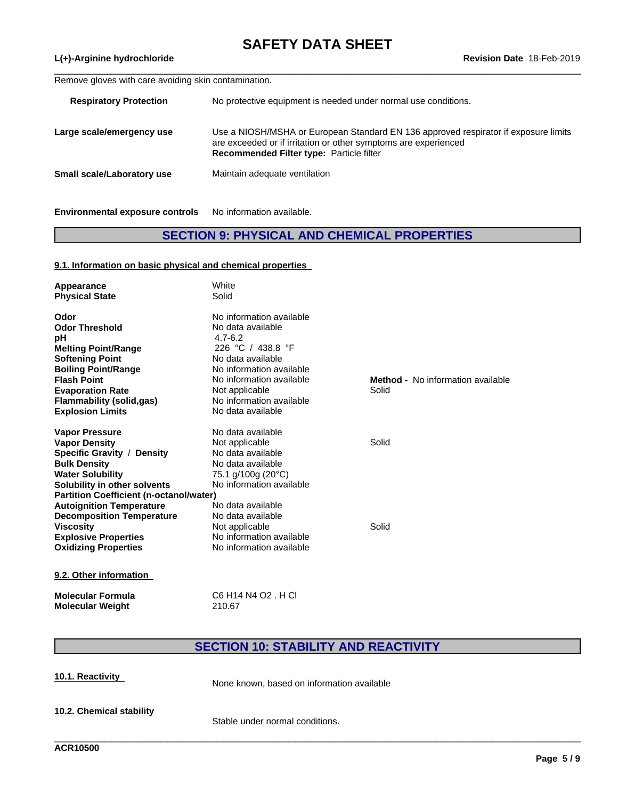$\_$  ,  $\_$  ,  $\_$  ,  $\_$  ,  $\_$  ,  $\_$  ,  $\_$  ,  $\_$  ,  $\_$  ,  $\_$  ,  $\_$  ,  $\_$  ,  $\_$  ,  $\_$  ,  $\_$  ,  $\_$  ,  $\_$  ,  $\_$  ,  $\_$  ,  $\_$  ,  $\_$  ,  $\_$  ,  $\_$  ,  $\_$  ,  $\_$  ,  $\_$  ,  $\_$  ,  $\_$  ,  $\_$  ,  $\_$  ,  $\_$  ,  $\_$  ,  $\_$  ,  $\_$  ,  $\_$  ,  $\_$  ,  $\_$  ,

#### **L(+)-Arginine hydrochloride Revision Date** 18-Feb-2019

Remove gloves with care avoiding skin contamination.

| <b>Respiratory Protection</b> | No protective equipment is needed under normal use conditions.                                                                                                                                            |
|-------------------------------|-----------------------------------------------------------------------------------------------------------------------------------------------------------------------------------------------------------|
| Large scale/emergency use     | Use a NIOSH/MSHA or European Standard EN 136 approved respirator if exposure limits<br>are exceeded or if irritation or other symptoms are experienced<br><b>Recommended Filter type: Particle filter</b> |
| Small scale/Laboratory use    | Maintain adequate ventilation                                                                                                                                                                             |
|                               |                                                                                                                                                                                                           |

**Environmental exposure controls** No information available.

# **SECTION 9: PHYSICAL AND CHEMICAL PROPERTIES**

#### **9.1. Information on basic physical and chemical properties**

| Appearance<br><b>Physical State</b>            | White<br>Solid                                |                                          |
|------------------------------------------------|-----------------------------------------------|------------------------------------------|
| Odor<br><b>Odor Threshold</b>                  | No information available<br>No data available |                                          |
| рH                                             | $4.7 - 6.2$                                   |                                          |
| <b>Melting Point/Range</b>                     | 226 °C / 438.8 °F                             |                                          |
| <b>Softening Point</b>                         | No data available                             |                                          |
| <b>Boiling Point/Range</b>                     | No information available                      |                                          |
| <b>Flash Point</b>                             | No information available                      | <b>Method -</b> No information available |
| <b>Evaporation Rate</b>                        | Not applicable                                | Solid                                    |
| <b>Flammability (solid,gas)</b>                | No information available                      |                                          |
| <b>Explosion Limits</b>                        | No data available                             |                                          |
| <b>Vapor Pressure</b>                          | No data available                             |                                          |
| <b>Vapor Density</b>                           | Not applicable                                | Solid                                    |
| Specific Gravity / Density                     | No data available                             |                                          |
| <b>Bulk Density</b>                            | No data available                             |                                          |
| <b>Water Solubility</b>                        | 75.1 g/100g (20°C)                            |                                          |
| Solubility in other solvents                   | No information available                      |                                          |
| <b>Partition Coefficient (n-octanol/water)</b> |                                               |                                          |
| <b>Autoignition Temperature</b>                | No data available                             |                                          |
| <b>Decomposition Temperature</b>               | No data available                             |                                          |
| <b>Viscosity</b>                               | Not applicable                                | Solid                                    |
| <b>Explosive Properties</b>                    | No information available                      |                                          |
| <b>Oxidizing Properties</b>                    | No information available                      |                                          |
| 9.2 Other information                          |                                               |                                          |

**9.2. Other information**

**Molecular Formula** C6 H14 N4 O2 . H Cl<br>**Molecular Weight** 210.67 **Molecular Weight** 

# **SECTION 10: STABILITY AND REACTIVITY**

| 10.1. Reactivity         | None known, based on information available |
|--------------------------|--------------------------------------------|
| 10.2. Chemical stability | Stable under normal conditions.            |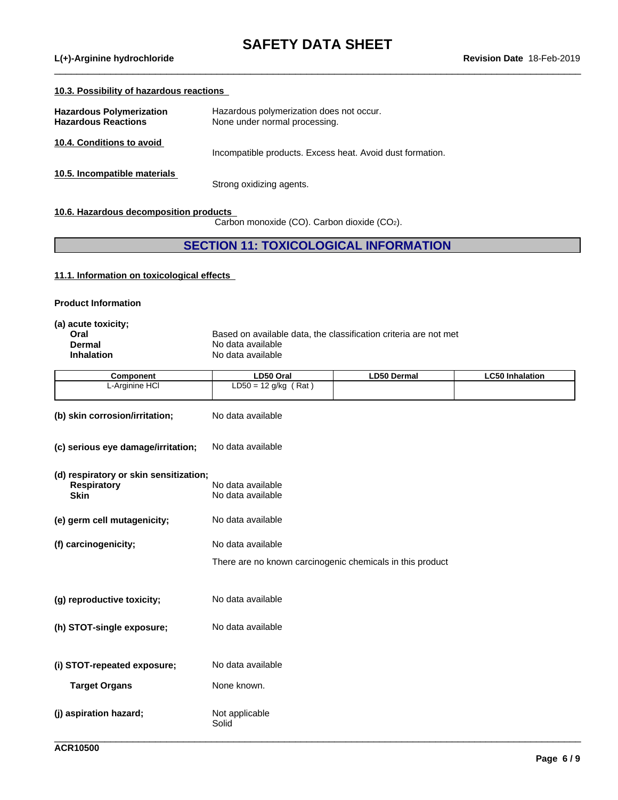$\_$  ,  $\_$  ,  $\_$  ,  $\_$  ,  $\_$  ,  $\_$  ,  $\_$  ,  $\_$  ,  $\_$  ,  $\_$  ,  $\_$  ,  $\_$  ,  $\_$  ,  $\_$  ,  $\_$  ,  $\_$  ,  $\_$  ,  $\_$  ,  $\_$  ,  $\_$  ,  $\_$  ,  $\_$  ,  $\_$  ,  $\_$  ,  $\_$  ,  $\_$  ,  $\_$  ,  $\_$  ,  $\_$  ,  $\_$  ,  $\_$  ,  $\_$  ,  $\_$  ,  $\_$  ,  $\_$  ,  $\_$  ,  $\_$  ,

**L(+)-Arginine hydrochloride** 

### **10.3. Possibility of hazardous reactions**

| Hazardous Polymerization<br><b>Hazardous Reactions</b> | Hazardous polymerization does not occur.<br>None under normal processing. |
|--------------------------------------------------------|---------------------------------------------------------------------------|
| 10.4. Conditions to avoid                              | Incompatible products. Excess heat. Avoid dust formation.                 |
| 10.5. Incompatible materials                           | Strong oxidizing agents.                                                  |

**10.6. Hazardous decomposition products**

Carbon monoxide (CO). Carbon dioxide (CO2).

## **SECTION 11: TOXICOLOGICAL INFORMATION**

## **11.1. Information on toxicologicaleffects**

| <b>Product Information</b> |  |
|----------------------------|--|
|----------------------------|--|

| (a) acute toxicity; |                                                                  |
|---------------------|------------------------------------------------------------------|
| Oral                | Based on available data, the classification criteria are not met |
| Dermal              | No data available                                                |
| <b>Inhalation</b>   | No data available                                                |

| Component      | <b>LD50 Oral</b>                                 | LD50 Dermal | ∟C50 Inhalation |
|----------------|--------------------------------------------------|-------------|-----------------|
| L-Arginine HCI | Rat<br>nan<br>$\sim$<br>12 a/ka<br>. —<br>∟∟ວບ = |             |                 |
|                |                                                  |             |                 |

| (b) skin corrosion/irritation;         | No data available                                         |
|----------------------------------------|-----------------------------------------------------------|
| (c) serious eye damage/irritation;     | No data available                                         |
| (d) respiratory or skin sensitization; |                                                           |
| <b>Respiratory</b><br><b>Skin</b>      | No data available<br>No data available                    |
| (e) germ cell mutagenicity;            | No data available                                         |
| (f) carcinogenicity;                   | No data available                                         |
|                                        | There are no known carcinogenic chemicals in this product |
| (g) reproductive toxicity;             | No data available                                         |
| (h) STOT-single exposure;              | No data available                                         |
| (i) STOT-repeated exposure;            | No data available                                         |
| <b>Target Organs</b>                   | None known.                                               |
| (j) aspiration hazard;                 | Not applicable                                            |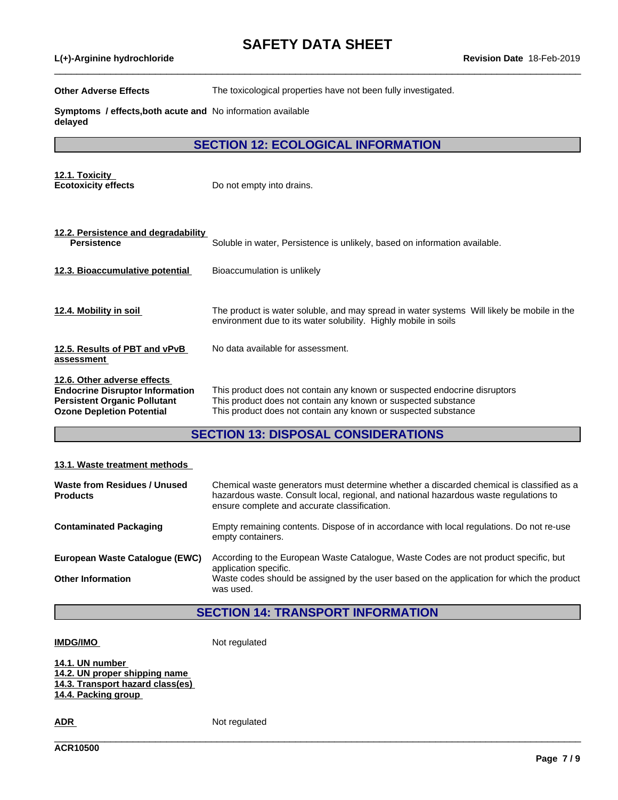**L(+)-Arginine hydrochloride Revision Date** 18-Feb-2019

**Other Adverse Effects** The toxicological properties have not been fully investigated.

 $\_$  ,  $\_$  ,  $\_$  ,  $\_$  ,  $\_$  ,  $\_$  ,  $\_$  ,  $\_$  ,  $\_$  ,  $\_$  ,  $\_$  ,  $\_$  ,  $\_$  ,  $\_$  ,  $\_$  ,  $\_$  ,  $\_$  ,  $\_$  ,  $\_$  ,  $\_$  ,  $\_$  ,  $\_$  ,  $\_$  ,  $\_$  ,  $\_$  ,  $\_$  ,  $\_$  ,  $\_$  ,  $\_$  ,  $\_$  ,  $\_$  ,  $\_$  ,  $\_$  ,  $\_$  ,  $\_$  ,  $\_$  ,  $\_$  ,

**Symptoms / effects,both acute and** No information available **delayed**

**SECTION 12: ECOLOGICAL INFORMATION**

| 12.1. Toxicity<br><b>Ecotoxicity effects</b>                                                                                                     | Do not empty into drains.                                                                                                                                                                                     |  |  |  |  |
|--------------------------------------------------------------------------------------------------------------------------------------------------|---------------------------------------------------------------------------------------------------------------------------------------------------------------------------------------------------------------|--|--|--|--|
|                                                                                                                                                  |                                                                                                                                                                                                               |  |  |  |  |
| 12.2. Persistence and degradability<br><b>Persistence</b>                                                                                        | Soluble in water, Persistence is unlikely, based on information available.                                                                                                                                    |  |  |  |  |
| 12.3. Bioaccumulative potential                                                                                                                  | Bioaccumulation is unlikely                                                                                                                                                                                   |  |  |  |  |
| 12.4. Mobility in soil                                                                                                                           | The product is water soluble, and may spread in water systems Will likely be mobile in the<br>environment due to its water solubility. Highly mobile in soils                                                 |  |  |  |  |
| 12.5. Results of PBT and vPvB<br>assessment                                                                                                      | No data available for assessment.                                                                                                                                                                             |  |  |  |  |
| 12.6. Other adverse effects<br><b>Endocrine Disruptor Information</b><br><b>Persistent Organic Pollutant</b><br><b>Ozone Depletion Potential</b> | This product does not contain any known or suspected endocrine disruptors<br>This product does not contain any known or suspected substance<br>This product does not contain any known or suspected substance |  |  |  |  |
| <b>SECTION 13: DISPOSAL CONSIDERATIONS</b>                                                                                                       |                                                                                                                                                                                                               |  |  |  |  |

#### **13.1. Waste treatment methods**

| Waste from Residues / Unused<br><b>Products</b> | Chemical waste generators must determine whether a discarded chemical is classified as a<br>hazardous waste. Consult local, regional, and national hazardous waste regulations to<br>ensure complete and accurate classification. |
|-------------------------------------------------|-----------------------------------------------------------------------------------------------------------------------------------------------------------------------------------------------------------------------------------|
| <b>Contaminated Packaging</b>                   | Empty remaining contents. Dispose of in accordance with local regulations. Do not re-use<br>empty containers.                                                                                                                     |
| European Waste Catalogue (EWC)                  | According to the European Waste Catalogue, Waste Codes are not product specific, but<br>application specific.                                                                                                                     |
| <b>Other Information</b>                        | Waste codes should be assigned by the user based on the application for which the product<br>was used.                                                                                                                            |

## **SECTION 14: TRANSPORT INFORMATION**

\_\_\_\_\_\_\_\_\_\_\_\_\_\_\_\_\_\_\_\_\_\_\_\_\_\_\_\_\_\_\_\_\_\_\_\_\_\_\_\_\_\_\_\_\_\_\_\_\_\_\_\_\_\_\_\_\_\_\_\_\_\_\_\_\_\_\_\_\_\_\_\_\_\_\_\_\_\_\_\_\_\_\_\_\_\_\_\_\_\_\_\_\_\_

**IMDG/IMO** Not regulated

**14.1. UN number 14.2. UN proper shipping name 14.3. Transport hazard class(es) 14.4. Packing group**

**ADR** Not regulated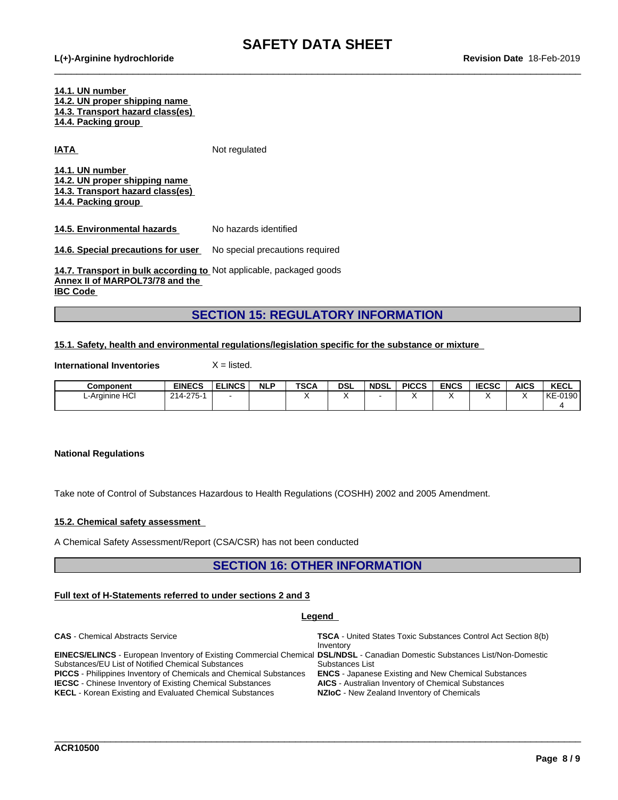$\_$  ,  $\_$  ,  $\_$  ,  $\_$  ,  $\_$  ,  $\_$  ,  $\_$  ,  $\_$  ,  $\_$  ,  $\_$  ,  $\_$  ,  $\_$  ,  $\_$  ,  $\_$  ,  $\_$  ,  $\_$  ,  $\_$  ,  $\_$  ,  $\_$  ,  $\_$  ,  $\_$  ,  $\_$  ,  $\_$  ,  $\_$  ,  $\_$  ,  $\_$  ,  $\_$  ,  $\_$  ,  $\_$  ,  $\_$  ,  $\_$  ,  $\_$  ,  $\_$  ,  $\_$  ,  $\_$  ,  $\_$  ,  $\_$  ,

**14.1. UN number 14.2. UN proper shipping name**

**14.3. Transport hazard class(es)**

**14.4. Packing group**

**IATA** Not regulated

**14.1. UN number 14.2. UN proper shipping name**

**14.3. Transport hazard class(es)**

**14.4. Packing group**

**14.5. Environmental hazards** No hazards identified

**14.6. Special precautions for user** No special precautions required

**14.7. Transport in bulk according to** Not applicable, packaged goods **Annex II of MARPOL73/78 and the IBC Code** 

## **SECTION 15: REGULATORY INFORMATION**

### **15.1. Safety, health and environmental regulations/legislation specific for the substance or mixture**

**International Inventories** X = listed.

| Component      | <b>EINECS</b>                             | <b>ELINCS</b> | <b>NLP</b> | <b>TSCA</b> | <b>DSL</b> | <b>NDSL</b> | <b>PICCS</b> | <b>ENCS</b> | <b>IECSC</b> | <b>AICS</b> | <b>KECL</b>    |
|----------------|-------------------------------------------|---------------|------------|-------------|------------|-------------|--------------|-------------|--------------|-------------|----------------|
| L-Arginine HCI | $.275 -$<br>$\sim$ $\sim$<br>214<br>ں ہے۔ |               |            |             |            |             |              |             |              |             | $-0190$<br>KE- |
|                |                                           |               |            |             |            |             |              |             |              |             |                |

#### **National Regulations**

Take note of Control of Substances Hazardous to Health Regulations (COSHH) 2002 and 2005 Amendment.

#### **15.2. Chemical safety assessment**

A Chemical Safety Assessment/Report (CSA/CSR) has not been conducted

### **SECTION 16: OTHER INFORMATION**

#### **Full text of H-Statements referred to undersections 2 and 3**

#### **Legend CAS** - Chemical Abstracts Service **TSCA** - United States Toxic Substances Control Act Section 8(b) Inventory **EINECS/ELINCS** - European Inventory of Existing Commercial Chemical **DSL/NDSL** - Canadian Domestic Substances List/Non-Domestic Substances/EU List of Notified Chemical Substances Substances List **PICCS** - Philippines Inventory of Chemicals and Chemical Substances **ENCS** - Japanese Existing and New Chemical Substances **IECSC** - Chinese Inventory of Existing Chemical Substances **KECL** - Korean Existing and Evaluated Chemical Substances **NZIoC** - New Zealand Inventory of Chemicals